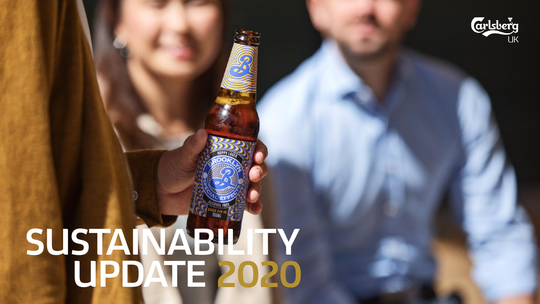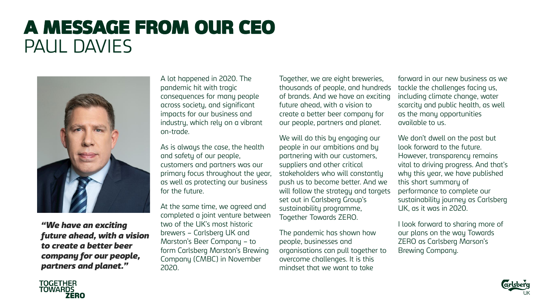## A MESSAGE FROM OUR CEO PAUL DAVIES



*"We have an exciting future ahead, with a vision to create a better beer company for our people, partners and planet."*

A lot happened in 2020. The pandemic hit with tragic consequences for many people across society, and significant impacts for our business and industry, which rely on a vibrant on-trade.

As is always the case, the health and safety of our people, customers and partners was our primary focus throughout the year, as well as protecting our business for the future.

At the same time, we agreed and completed a joint venture between two of the UK's most historic brewers – Carlsberg UK and Marston's Beer Company – to form Carlsberg Marston's Brewing Company (CMBC) in November 2020.

Together, we are eight breweries, thousands of people, and hundreds of brands. And we have an exciting future ahead, with a vision to create a better beer company for our people, partners and planet.

We will do this by engaging our people in our ambitions and by partnering with our customers, suppliers and other critical stakeholders who will constantly push us to become better. And we will follow the strategy and targets set out in Carlsberg Group's sustainability programme, Together Towards ZERO.

The pandemic has shown how people, businesses and organisations can pull together to overcome challenges. It is this mindset that we want to take

forward in our new business as we tackle the challenges facing us, including climate change, water scarcity and public health, as well as the many opportunities available to us.

We don't dwell on the past but look forward to the future. However, transparency remains vital to driving progress. And that's why this year, we have published this short summary of performance to complete our sustainability journey as Carlsberg UK, as it was in 2020.

I look forward to sharing more of our plans on the way Towards ZERO as Carlsberg Marson's Brewing Company.



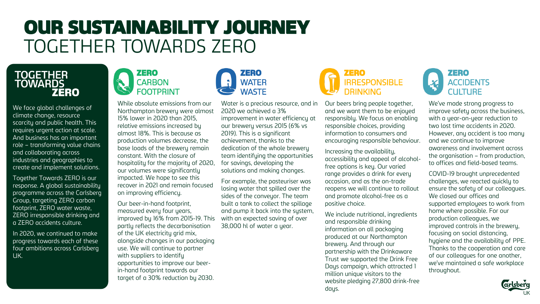## OUR SUSTAINABILITY JOURNEY TOGETHER TOWARDS ZERO



We face global challenges of climate change, resource scarcity and public health. This requires urgent action at scale. And business has an important role – transforming value chains and collaborating across industries and geographies to create and implement solutions.

Together Towards ZERO is our response. A global sustainability programme across the Carlsberg Group, targeting ZERO carbon footprint, ZERO water waste, ZERO irresponsible drinking and a ZERO accidents culture.

In 2020, we continued to make progress towards each of these four ambitions across Carlsberg UK.



While absolute emissions from our Northampton brewery were almost 15% lower in 2020 than 2015, relative emissions increased by almost 18%. This is because as production volumes decrease, the base loads of the brewery remain constant. With the closure of hospitality for the majority of 2020, our volumes were significantly impacted. We hope to see this recover in 2021 and remain focused on improving efficiency.

Our beer-in-hand footprint, measured every four years, improved by 16% from 2015-19. This partly reflects the decarbonisation of the UK electricity grid mix, alongside changes in our packaging use. We will continue to partner with suppliers to identify opportunities to improve our beerin-hand footprint towards our target of a 30% reduction by 2030.

Water is a precious resource, and in 2020 we achieved a 3% improvement in water efficiency at our brewery versus 2015 (6% vs 2019). This is a significant achievement, thanks to the dedication of the whole brewery team identifuing the opportunities for savings, developing the solutions and making changes.

ZERO WATER **WASTE** 

For example, the pasteuriser was losing water that spilled over the sides of the conveyor. The team built a tank to collect the spillage and pump it back into the system, with an expected saving of over 38,000 hl of water a year.



Our beers bring people together, and we want them to be enjoyed responsibly. We focus on enabling responsible choices, providing information to consumers and encouraging responsible behaviour.

Increasing the availability, accessibility and appeal of alcoholfree options is key. Our varied range provides a drink for every occasion, and as the on-trade reopens we will continue to rollout and promote alcohol-free as a positive choice.

We include nutritional, ingredients and responsible drinking information on all packaging produced at our Northampton brewery. And through our partnership with the Drinkaware Trust we supported the Drink Free Days campaign, which attracted 1 million unique visitors to the website pledging 27,800 drink-free days.



We've made strong progress to improve safety across the business, with a year-on-year reduction to two lost time accidents in 2020. However, any accident is too many and we continue to improve awareness and involvement across the organisation – from production, to offices and field-based teams.

COVID-19 brought unprecedented challenges, we reacted quickly to ensure the safety of our colleagues. We closed our offices and supported employees to work from home where possible. For our production colleagues, we improved controls in the brewery, focusing on social distancing, hygiene and the availability of PPE. Thanks to the cooperation and care of our colleagues for one another, we've maintained a safe workplace throughout.

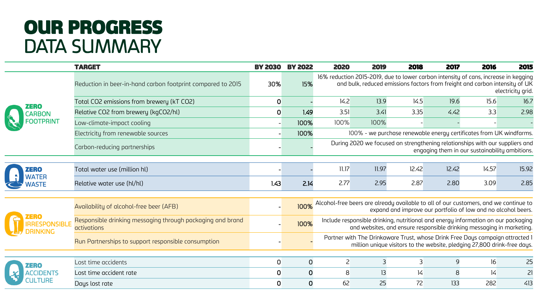## OUR PROGRESS DATA SUMMARY

|  | <b>TARGET</b>                                                                    | <b>BY 2030</b> | <b>BY 2022</b> | 2020                                                                                                                                                       | 2019  | 2018  | 2017  | 2016                                                                                                                                                               | 2015              |  |
|--|----------------------------------------------------------------------------------|----------------|----------------|------------------------------------------------------------------------------------------------------------------------------------------------------------|-------|-------|-------|--------------------------------------------------------------------------------------------------------------------------------------------------------------------|-------------------|--|
|  | Reduction in beer-in-hand carbon footprint compared to 2015                      | 30%            | 15%            |                                                                                                                                                            |       |       |       | 16% reduction 2015-2019, due to lower carbon intensity of cans, increase in kegging<br>and bulk, reduced emissions factors from freight and carbon intensity of UK | electricity grid. |  |
|  | Total CO2 emissions from brewery (kT CO2)                                        | $\mathbf 0$    |                | 14.2                                                                                                                                                       | 13.9  | 14.5  | 19.6  | 15.6                                                                                                                                                               | 16.7              |  |
|  | Relative CO2 from brewery (kgCO2/hl)                                             | $\mathbf 0$    | 1.49           | 3.51                                                                                                                                                       | 3.41  | 3.35  | 4.42  | 3.3                                                                                                                                                                | 2.98              |  |
|  | Low-climate-impact cooling                                                       |                | 100%           | 100%                                                                                                                                                       | 100%  |       |       |                                                                                                                                                                    |                   |  |
|  | Electricity from renewable sources                                               |                | 100%           |                                                                                                                                                            |       |       |       | 100% - we purchase renewable energy certificates from UK windfarms.                                                                                                |                   |  |
|  | Carbon-reducing partnerships                                                     |                |                | During 2020 we focused on strengthening relationships with our suppliers and<br>engaging them in our sustainability ambitions.                             |       |       |       |                                                                                                                                                                    |                   |  |
|  | Total water use (million hl)                                                     |                |                | 11.17                                                                                                                                                      | 11.97 | 12.42 | 12.42 | 14.57                                                                                                                                                              | 15.92             |  |
|  | Relative water use (hl/hl)                                                       | 1.43           | 2.14           | 2.77                                                                                                                                                       | 2.95  | 2.87  | 2.80  | 3.09                                                                                                                                                               | 2.85              |  |
|  | Availability of alcohol-free beer (AFB)                                          |                |                |                                                                                                                                                            |       |       |       | alcohol-free beers are already available to all of our customers, and we continue to expand and improve our portfolio of low and no alcohol beers.                 |                   |  |
|  | Responsible drinking messaging through packaging and brand<br><b>activations</b> |                | 100%           | Include responsible drinking, nutritional and energy information on our packaging<br>and websites, and ensure responsible drinking messaging in marketing. |       |       |       |                                                                                                                                                                    |                   |  |
|  | Run Partnerships to support responsible consumption                              |                |                | Partner with The Drinkaware Trust, whose Drink Free Days campaign attracted I<br>million unique visitors to the website, pledging 27,800 drink-free days.  |       |       |       |                                                                                                                                                                    |                   |  |
|  |                                                                                  |                |                |                                                                                                                                                            |       |       |       |                                                                                                                                                                    |                   |  |
|  | Lost time accidents                                                              | $\mathbf 0$    | $\mathbf 0$    | $\overline{c}$                                                                                                                                             | 3     | 3     | 9     | 16                                                                                                                                                                 | 25                |  |
|  | Lost time accident rate                                                          | $\mathbf 0$    | $\mathbf 0$    | 8                                                                                                                                                          | 13    | 4     | 8     | 4                                                                                                                                                                  | 21                |  |
|  | Days lost rate                                                                   | $\mathbf 0$    | 0              | 62                                                                                                                                                         | 25    | 72    | 133   | 282                                                                                                                                                                | 413               |  |